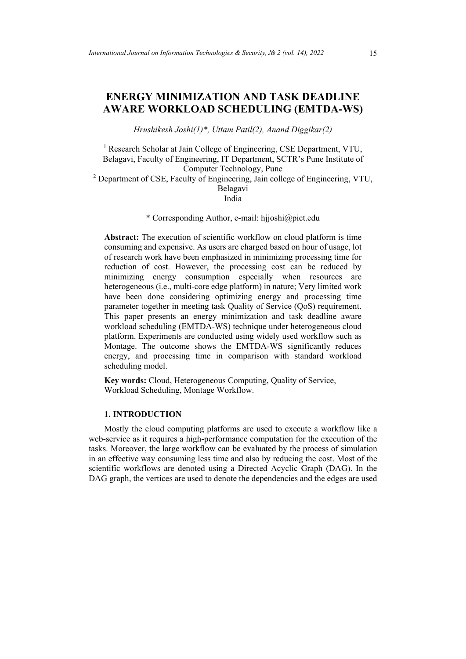# **ENERGY MINIMIZATION AND TASK DEADLINE AWARE WORKLOAD SCHEDULING (EMTDA-WS)**

*Hrushikesh Joshi(1)\*, Uttam Patil(2), Anand Diggikar(2)*

<sup>1</sup> Research Scholar at Jain College of Engineering, CSE Department, VTU, Belagavi, Faculty of Engineering, IT Department, SCTR's Pune Institute of Computer Technology, Pune

<sup>2</sup> Department of CSE, Faculty of Engineering, Jain college of Engineering, VTU, Belagavi

# India

\* Corresponding Author, e-mail: hjjoshi@pict.edu

**Abstract:** The execution of scientific workflow on cloud platform is time consuming and expensive. As users are charged based on hour of usage, lot of research work have been emphasized in minimizing processing time for reduction of cost. However, the processing cost can be reduced by minimizing energy consumption especially when resources are heterogeneous (i.e., multi-core edge platform) in nature; Very limited work have been done considering optimizing energy and processing time parameter together in meeting task Quality of Service (QoS) requirement. This paper presents an energy minimization and task deadline aware workload scheduling (EMTDA-WS) technique under heterogeneous cloud platform. Experiments are conducted using widely used workflow such as Montage. The outcome shows the EMTDA-WS significantly reduces energy, and processing time in comparison with standard workload scheduling model.

**Key words:** Cloud, Heterogeneous Computing, Quality of Service, Workload Scheduling, Montage Workflow.

# **1. INTRODUCTION**

Mostly the cloud computing platforms are used to execute a workflow like a web-service as it requires a high-performance computation for the execution of the tasks. Moreover, the large workflow can be evaluated by the process of simulation in an effective way consuming less time and also by reducing the cost. Most of the scientific workflows are denoted using a Directed Acyclic Graph (DAG). In the DAG graph, the vertices are used to denote the dependencies and the edges are used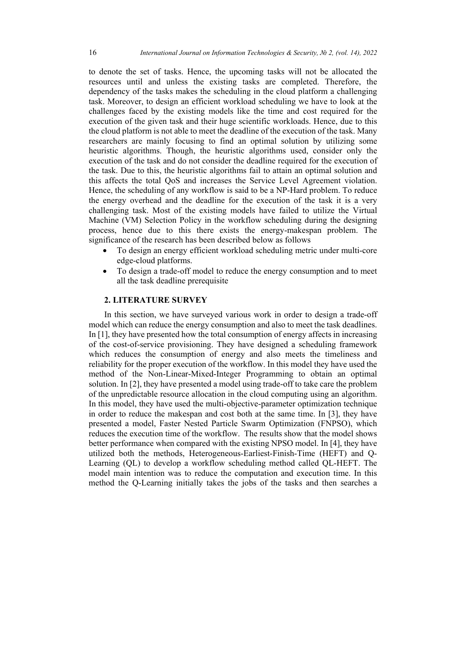to denote the set of tasks. Hence, the upcoming tasks will not be allocated the resources until and unless the existing tasks are completed. Therefore, the dependency of the tasks makes the scheduling in the cloud platform a challenging task. Moreover, to design an efficient workload scheduling we have to look at the challenges faced by the existing models like the time and cost required for the execution of the given task and their huge scientific workloads. Hence, due to this the cloud platform is not able to meet the deadline of the execution of the task. Many researchers are mainly focusing to find an optimal solution by utilizing some heuristic algorithms. Though, the heuristic algorithms used, consider only the execution of the task and do not consider the deadline required for the execution of the task. Due to this, the heuristic algorithms fail to attain an optimal solution and this affects the total QoS and increases the Service Level Agreement violation. Hence, the scheduling of any workflow is said to be a NP-Hard problem. To reduce the energy overhead and the deadline for the execution of the task it is a very challenging task. Most of the existing models have failed to utilize the Virtual Machine (VM) Selection Policy in the workflow scheduling during the designing process, hence due to this there exists the energy-makespan problem. The significance of the research has been described below as follows

- To design an energy efficient workload scheduling metric under multi-core edge-cloud platforms.
- To design a trade-off model to reduce the energy consumption and to meet all the task deadline prerequisite

# **2. LITERATURE SURVEY**

In this section, we have surveyed various work in order to design a trade-off model which can reduce the energy consumption and also to meet the task deadlines. In [1], they have presented how the total consumption of energy affects in increasing of the cost-of-service provisioning. They have designed a scheduling framework which reduces the consumption of energy and also meets the timeliness and reliability for the proper execution of the workflow. In this model they have used the method of the Non-Linear-Mixed-Integer Programming to obtain an optimal solution. In [2], they have presented a model using trade-off to take care the problem of the unpredictable resource allocation in the cloud computing using an algorithm. In this model, they have used the multi-objective-parameter optimization technique in order to reduce the makespan and cost both at the same time. In [3], they have presented a model, Faster Nested Particle Swarm Optimization (FNPSO), which reduces the execution time of the workflow. The results show that the model shows better performance when compared with the existing NPSO model. In [4], they have utilized both the methods, Heterogeneous-Earliest-Finish-Time (HEFT) and Q-Learning (QL) to develop a workflow scheduling method called QL-HEFT. The model main intention was to reduce the computation and execution time. In this method the Q-Learning initially takes the jobs of the tasks and then searches a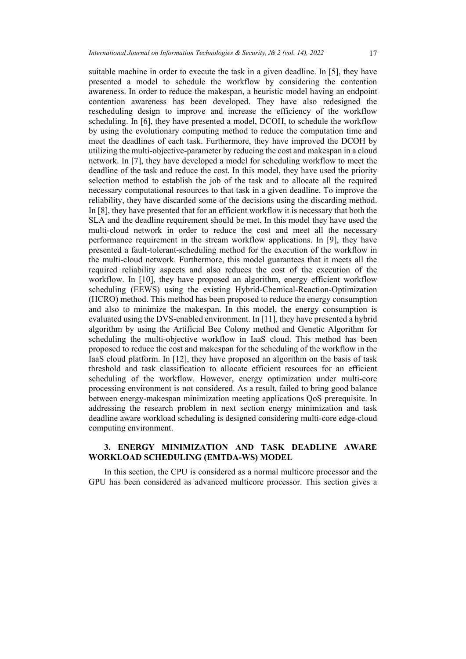suitable machine in order to execute the task in a given deadline. In [5], they have presented a model to schedule the workflow by considering the contention awareness. In order to reduce the makespan, a heuristic model having an endpoint contention awareness has been developed. They have also redesigned the rescheduling design to improve and increase the efficiency of the workflow scheduling. In [6], they have presented a model, DCOH, to schedule the workflow by using the evolutionary computing method to reduce the computation time and meet the deadlines of each task. Furthermore, they have improved the DCOH by utilizing the multi-objective-parameter by reducing the cost and makespan in a cloud network. In [7], they have developed a model for scheduling workflow to meet the deadline of the task and reduce the cost. In this model, they have used the priority selection method to establish the job of the task and to allocate all the required necessary computational resources to that task in a given deadline. To improve the reliability, they have discarded some of the decisions using the discarding method. In [8], they have presented that for an efficient workflow it is necessary that both the SLA and the deadline requirement should be met. In this model they have used the multi-cloud network in order to reduce the cost and meet all the necessary performance requirement in the stream workflow applications. In [9], they have presented a fault-tolerant-scheduling method for the execution of the workflow in the multi-cloud network. Furthermore, this model guarantees that it meets all the required reliability aspects and also reduces the cost of the execution of the workflow. In [10], they have proposed an algorithm, energy efficient workflow scheduling (EEWS) using the existing Hybrid-Chemical-Reaction-Optimization (HCRO) method. This method has been proposed to reduce the energy consumption and also to minimize the makespan. In this model, the energy consumption is evaluated using the DVS-enabled environment. In [11], they have presented a hybrid algorithm by using the Artificial Bee Colony method and Genetic Algorithm for scheduling the multi-objective workflow in IaaS cloud. This method has been proposed to reduce the cost and makespan for the scheduling of the workflow in the IaaS cloud platform. In [12], they have proposed an algorithm on the basis of task threshold and task classification to allocate efficient resources for an efficient scheduling of the workflow. However, energy optimization under multi-core processing environment is not considered. As a result, failed to bring good balance between energy-makespan minimization meeting applications QoS prerequisite. In addressing the research problem in next section energy minimization and task deadline aware workload scheduling is designed considering multi-core edge-cloud computing environment.

# **3. ENERGY MINIMIZATION AND TASK DEADLINE AWARE WORKLOAD SCHEDULING (EMTDA-WS) MODEL**

In this section, the CPU is considered as a normal multicore processor and the GPU has been considered as advanced multicore processor. This section gives a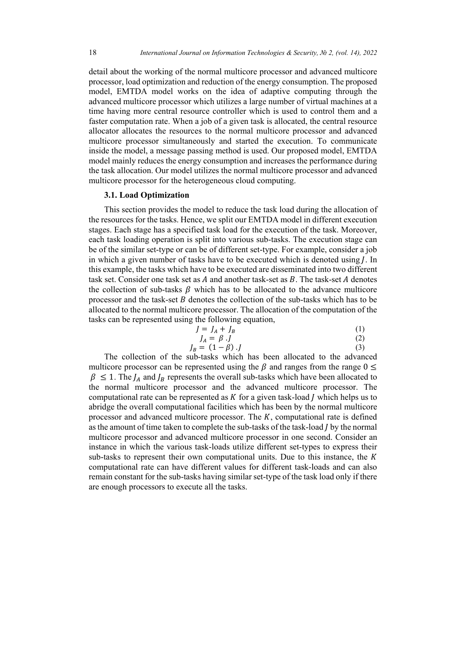detail about the working of the normal multicore processor and advanced multicore processor, load optimization and reduction of the energy consumption. The proposed model, EMTDA model works on the idea of adaptive computing through the advanced multicore processor which utilizes a large number of virtual machines at a time having more central resource controller which is used to control them and a faster computation rate. When a job of a given task is allocated, the central resource allocator allocates the resources to the normal multicore processor and advanced multicore processor simultaneously and started the execution. To communicate inside the model, a message passing method is used. Our proposed model, EMTDA model mainly reduces the energy consumption and increases the performance during the task allocation. Our model utilizes the normal multicore processor and advanced multicore processor for the heterogeneous cloud computing.

#### **3.1. Load Optimization**

This section provides the model to reduce the task load during the allocation of the resources for the tasks. Hence, we split our EMTDA model in different execution stages. Each stage has a specified task load for the execution of the task. Moreover, each task loading operation is split into various sub-tasks. The execution stage can be of the similar set-type or can be of different set-type. For example, consider a job in which a given number of tasks have to be executed which is denoted using *. In* this example, the tasks which have to be executed are disseminated into two different task set. Consider one task set as  $A$  and another task-set as  $B$ . The task-set  $A$  denotes the collection of sub-tasks  $\beta$  which has to be allocated to the advance multicore processor and the task-set  $B$  denotes the collection of the sub-tasks which has to be allocated to the normal multicore processor. The allocation of the computation of the tasks can be represented using the following equation,

$$
J = J_A + J_B
$$
  
\n
$$
J_A = \beta \cdot J
$$
\n(1)  
\n(2)

$$
J_B = (1 - \beta) \cdot J \tag{3}
$$

The collection of the sub-tasks which has been allocated to the advanced multicore processor can be represented using the  $\beta$  and ranges from the range  $0 \le$  $\beta \leq 1$ . The  $I_A$  and  $I_B$  represents the overall sub-tasks which have been allocated to the normal multicore processor and the advanced multicore processor. The computational rate can be represented as  $K$  for a given task-load  *which helps us to* abridge the overall computational facilities which has been by the normal multicore processor and advanced multicore processor. The  $K$ , computational rate is defined as the amount of time taken to complete the sub-tasks of the task-load *J* by the normal multicore processor and advanced multicore processor in one second. Consider an instance in which the various task-loads utilize different set-types to express their sub-tasks to represent their own computational units. Due to this instance, the  $K$ computational rate can have different values for different task-loads and can also remain constant for the sub-tasks having similar set-type of the task load only if there are enough processors to execute all the tasks.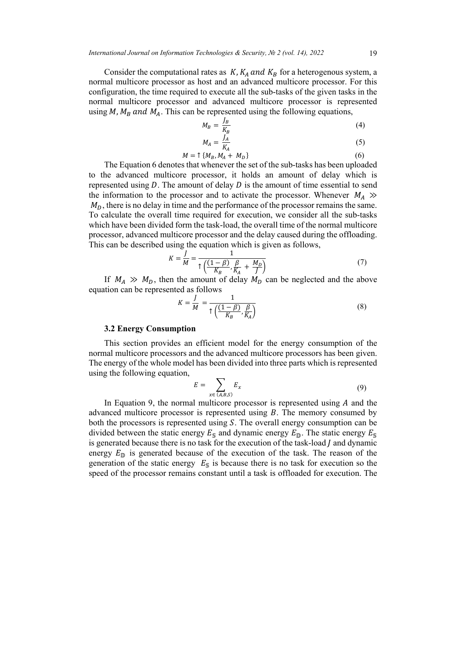Consider the computational rates as  $K$ ,  $K_A$  and  $K_B$  for a heterogenous system, a normal multicore processor as host and an advanced multicore processor. For this configuration, the time required to execute all the sub-tasks of the given tasks in the normal multicore processor and advanced multicore processor is represented using  $M$ ,  $M_B$  and  $M_A$ . This can be represented using the following equations,

$$
M_B = \frac{J_B}{K_B}
$$
(4)

$$
M_A = \frac{J_A}{K_A} \tag{5}
$$

$$
M = \uparrow \{M_B, M_A + M_D\} \tag{6}
$$

The Equation 6 denotes that whenever the set of the sub-tasks has been uploaded to the advanced multicore processor, it holds an amount of delay which is represented using  $D$ . The amount of delay  $D$  is the amount of time essential to send the information to the processor and to activate the processor. Whenever  $M<sub>4</sub> \gg$  $M<sub>D</sub>$ , there is no delay in time and the performance of the processor remains the same. To calculate the overall time required for execution, we consider all the sub-tasks which have been divided form the task-load, the overall time of the normal multicore processor, advanced multicore processor and the delay caused during the offloading. This can be described using the equation which is given as follows,

$$
K = \frac{J}{M} = \frac{1}{\gamma \left( \frac{(1-\beta)}{K_B}, \frac{\beta}{K_A} + \frac{M_D}{J} \right)}
$$
(7)

If  $M_A \gg M_D$ , then the amount of delay  $M_D$  can be neglected and the above equation can be represented as follows

$$
K = \frac{J}{M} = \frac{1}{\uparrow \left(\frac{(1-\beta)}{K_B}, \frac{\beta}{K_A}\right)}\tag{8}
$$

#### **3.2 Energy Consumption**

This section provides an efficient model for the energy consumption of the normal multicore processors and the advanced multicore processors has been given. The energy of the whole model has been divided into three parts which is represented using the following equation,

$$
E = \sum_{x \in (A,B,S)} E_x \tag{9}
$$

In Equation 9, the normal multicore processor is represented using  $A$  and the advanced multicore processor is represented using  $B$ . The memory consumed by both the processors is represented using  $S$ . The overall energy consumption can be divided between the static energy  $E_s$  and dynamic energy  $E_{\rm m}$ . The static energy  $E_s$ is generated because there is no task for the execution of the task-load  *and dynamic* energy  $E_{\mathbb{D}}$  is generated because of the execution of the task. The reason of the generation of the static energy  $E_s$  is because there is no task for execution so the speed of the processor remains constant until a task is offloaded for execution. The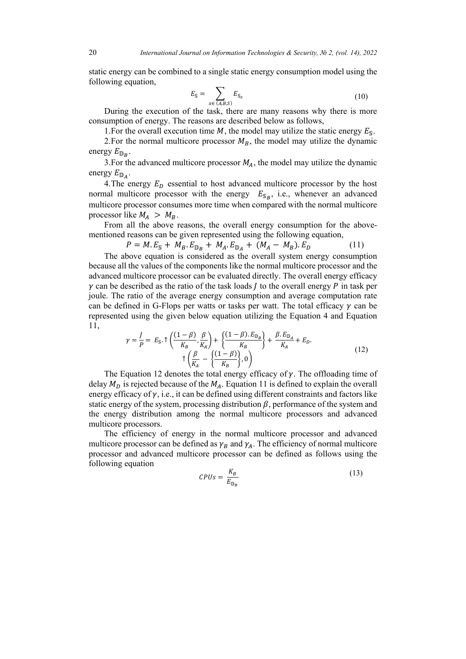static energy can be combined to a single static energy consumption model using the following equation,

$$
E_{\mathbb{S}} = \sum_{x \in (A,B,S)} E_{\mathbb{S}_x} \tag{10}
$$

During the execution of the task, there are many reasons why there is more consumption of energy. The reasons are described below as follows,

1. For the overall execution time M, the model may utilize the static energy  $E_{\rm s}$ .

2. For the normal multicore processor  $M_B$ , the model may utilize the dynamic energy  $E_{\mathbb{D}_R}$ .

3. For the advanced multicore processor  $M_A$ , the model may utilize the dynamic energy  $E_{\mathbb{D}_A}$ .

4. The energy  $E_D$  essential to host advanced multicore processor by the host normal multicore processor with the energy  $E_{\text{S}_R}$ , i.e., whenever an advanced multicore processor consumes more time when compared with the normal multicore processor like  $M_A > M_B$ .

From all the above reasons, the overall energy consumption for the abovementioned reasons can be given represented using the following equation,

 $P = M.E_{\mathcal{S}} + M_B.E_{\mathcal{D}_B} + M_A.E_{\mathcal{D}_A} + (M_A - M_B).E_D$  (11)

The above equation is considered as the overall system energy consumption because all the values of the components like the normal multicore processor and the advanced multicore processor can be evaluated directly. The overall energy efficacy  $\gamma$  can be described as the ratio of the task loads *I* to the overall energy *P* in task per joule. The ratio of the average energy consumption and average computation rate can be defined in G-Flops per watts or tasks per watt. The total efficacy  $\gamma$  can be represented using the given below equation utilizing the Equation 4 and Equation 11,

$$
\gamma = \frac{J}{P} = E_{\rm S} \cdot \hat{\tau} \left( \frac{(1-\beta)}{K_B}, \frac{\beta}{K_A} \right) + \left\{ \frac{(1-\beta) \cdot E_{\mathbb{D}_B}}{K_B} \right\} + \frac{\beta \cdot E_{\mathbb{D}_A}}{K_A} + E_D.
$$
\n
$$
\hat{\tau} \left( \frac{\beta}{K_A} - \left\{ \frac{(1-\beta)}{K_B} \right\}, 0 \right)
$$
\n(12)

The Equation 12 denotes the total energy efficacy of  $\gamma$ . The offloading time of delay  $M<sub>D</sub>$  is rejected because of the  $M<sub>A</sub>$ . Equation 11 is defined to explain the overall energy efficacy of  $\gamma$ , i.e., it can be defined using different constraints and factors like static energy of the system, processing distribution  $\beta$ , performance of the system and the energy distribution among the normal multicore processors and advanced multicore processors.

The efficiency of energy in the normal multicore processor and advanced multicore processor can be defined as  $\gamma_B$  and  $\gamma_A$ . The efficiency of normal multicore processor and advanced multicore processor can be defined as follows using the following equation

$$
CPUs = \frac{K_B}{E_{\mathbb{D}_B}}\tag{13}
$$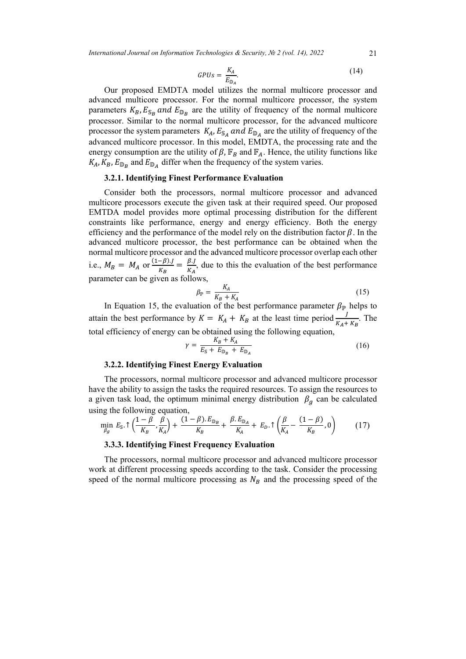*International Journal on Information Technologies & Security, № 2 (vol. 14), 2022* 21

$$
GPUs = \frac{K_A}{E_{\mathbb{D}_A}}.\tag{14}
$$

Our proposed EMDTA model utilizes the normal multicore processor and advanced multicore processor. For the normal multicore processor, the system parameters  $K_B$ ,  $E_{\mathcal{S}_B}$  and  $E_{\mathcal{D}_B}$  are the utility of frequency of the normal multicore processor. Similar to the normal multicore processor, for the advanced multicore processor the system parameters  $K_A$ ,  $E_{\mathcal{S}_A}$  and  $E_{\mathcal{D}_A}$  are the utility of frequency of the advanced multicore processor. In this model, EMDTA, the processing rate and the energy consumption are the utility of  $\beta$ ,  $\mathbb{F}_B$  and  $\mathbb{F}_A$ . Hence, the utility functions like  $K_A, K_B, E_{\mathbb{D}_B}$  and  $E_{\mathbb{D}_A}$  differ when the frequency of the system varies.

### **3.2.1. Identifying Finest Performance Evaluation**

Consider both the processors, normal multicore processor and advanced multicore processors execute the given task at their required speed. Our proposed EMTDA model provides more optimal processing distribution for the different constraints like performance, energy and energy efficiency. Both the energy efficiency and the performance of the model rely on the distribution factor  $\beta$ . In the advanced multicore processor, the best performance can be obtained when the normal multicore processor and the advanced multicore processor overlap each other i.e.,  $M_B = M_A$  or  $\frac{(1-\beta)J}{K_B} = \frac{\beta J}{K_A}$ , due to this the evaluation of the best performance parameter can be given as follows,

$$
\beta_{\mathbb{P}} = \frac{K_A}{K_B + K_A} \tag{15}
$$

In Equation 15, the evaluation of the best performance parameter  $\beta_{\mathbb{P}}$  helps to attain the best performance by  $K = K_A + K_B$  at the least time period  $\frac{1}{K_A + K_B}$ . The total efficiency of energy can be obtained using the following equation,

$$
\gamma = \frac{K_B + K_A}{E_S + E_{\mathbb{D}_B} + E_{\mathbb{D}_A}}\tag{16}
$$

#### **3.2.2. Identifying Finest Energy Evaluation**

The processors, normal multicore processor and advanced multicore processor have the ability to assign the tasks the required resources. To assign the resources to a given task load, the optimum minimal energy distribution  $\beta_g$  can be calculated using the following equation,

$$
\min_{\beta_g} E_{\mathbb{S}}.\uparrow \left(\frac{1-\beta}{K_B}, \frac{\beta}{K_A}\right) + \frac{(1-\beta) . E_{\mathbb{D}_B}}{K_B} + \frac{\beta . E_{\mathbb{D}_A}}{K_A} + E_D.\uparrow \left(\frac{\beta}{K_A} - \frac{(1-\beta)}{K_B}, 0\right) \tag{17}
$$

## **3.3.3. Identifying Finest Frequency Evaluation**

The processors, normal multicore processor and advanced multicore processor work at different processing speeds according to the task. Consider the processing speed of the normal multicore processing as  $N_B$  and the processing speed of the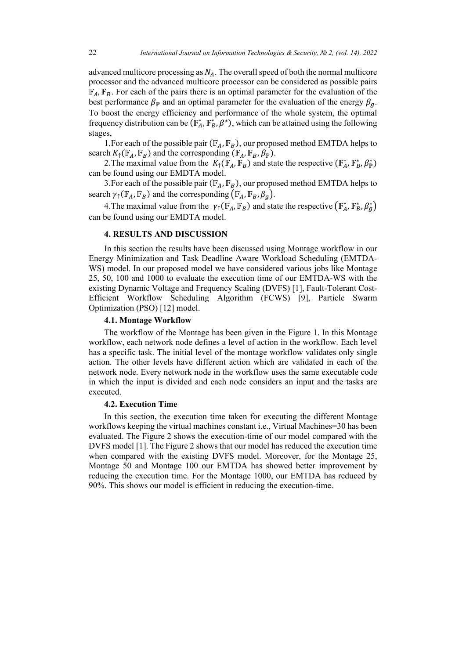advanced multicore processing as  $N_A$ . The overall speed of both the normal multicore processor and the advanced multicore processor can be considered as possible pairs  $\mathbb{F}_A$ ,  $\mathbb{F}_B$ . For each of the pairs there is an optimal parameter for the evaluation of the best performance  $\beta_{\mathbb{P}}$  and an optimal parameter for the evaluation of the energy  $\beta_{q}$ . To boost the energy efficiency and performance of the whole system, the optimal frequency distribution can be ( $\mathbb{F}_A^*, \mathbb{F}_B^*, \beta^*$ ), which can be attained using the following stages,

1. For each of the possible pair ( $\mathbb{F}_A$ ,  $\mathbb{F}_B$ ), our proposed method EMTDA helps to search  $K_{\uparrow}(\mathbb{F}_A, \mathbb{F}_B)$  and the corresponding  $(\mathbb{F}_A, \mathbb{F}_B, \beta_{\mathbb{P}})$ .

2. The maximal value from the  $K_{\uparrow}(\mathbb{F}_A, \mathbb{F}_B)$  and state the respective  $(\mathbb{F}_A^*, \mathbb{F}_B^*, \beta_{\mathbb{P}}^*)$ can be found using our EMDTA model.

3. For each of the possible pair ( $\mathbb{F}_A$ ,  $\mathbb{F}_B$ ), our proposed method EMTDA helps to search  $\gamma_{\uparrow}(\mathbb{F}_A, \mathbb{F}_B)$  and the corresponding  $(\mathbb{F}_A, \mathbb{F}_B, \beta_g)$ .

4. The maximal value from the  $\gamma_1(\mathbb{F}_A, \mathbb{F}_B)$  and state the respective  $(\mathbb{F}_A^*, \mathbb{F}_B^*, \beta_g^*)$ can be found using our EMDTA model.

#### **4. RESULTS AND DISCUSSION**

In this section the results have been discussed using Montage workflow in our Energy Minimization and Task Deadline Aware Workload Scheduling (EMTDA-WS) model. In our proposed model we have considered various jobs like Montage 25, 50, 100 and 1000 to evaluate the execution time of our EMTDA-WS with the existing Dynamic Voltage and Frequency Scaling (DVFS) [1], Fault-Tolerant Cost-Efficient Workflow Scheduling Algorithm (FCWS) [9], Particle Swarm Optimization (PSO) [12] model.

#### **4.1. Montage Workflow**

The workflow of the Montage has been given in the Figure 1. In this Montage workflow, each network node defines a level of action in the workflow. Each level has a specific task. The initial level of the montage workflow validates only single action. The other levels have different action which are validated in each of the network node. Every network node in the workflow uses the same executable code in which the input is divided and each node considers an input and the tasks are executed.

#### **4.2. Execution Time**

In this section, the execution time taken for executing the different Montage workflows keeping the virtual machines constant i.e., Virtual Machines=30 has been evaluated. The Figure 2 shows the execution-time of our model compared with the DVFS model [1]. The Figure 2 shows that our model has reduced the execution time when compared with the existing DVFS model. Moreover, for the Montage 25, Montage 50 and Montage 100 our EMTDA has showed better improvement by reducing the execution time. For the Montage 1000, our EMTDA has reduced by 90%. This shows our model is efficient in reducing the execution-time.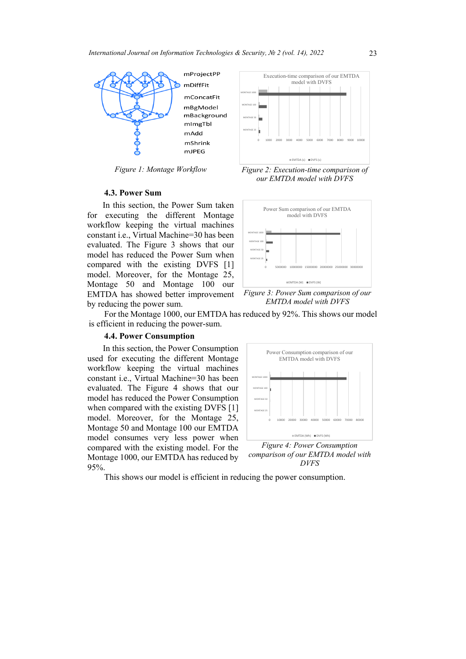

#### **4.3. Power Sum**

In this section, the Power Sum taken for executing the different Montage workflow keeping the virtual machines constant i.e., Virtual Machine=30 has been evaluated. The Figure 3 shows that our model has reduced the Power Sum when compared with the existing DVFS [1] model. Moreover, for the Montage 25, Montage 50 and Montage 100 our EMTDA has showed better improvement by reducing the power sum.



*Figure 1: Montage Workflow Figure 2: Execution-time comparison of our EMTDA model with DVFS*



*Figure 3: Power Sum comparison of our EMTDA model with DVFS*

For the Montage 1000, our EMTDA has reduced by 92%. This shows our model is efficient in reducing the power-sum.

### **4.4. Power Consumption**

In this section, the Power Consumption used for executing the different Montage workflow keeping the virtual machines constant i.e., Virtual Machine=30 has been evaluated. The Figure 4 shows that our model has reduced the Power Consumption when compared with the existing DVFS [1] model. Moreover, for the Montage 25, Montage 50 and Montage 100 our EMTDA model consumes very less power when compared with the existing model. For the Montage 1000, our EMTDA has reduced by 95%.



*comparison of our EMTDA model with DVFS*

This shows our model is efficient in reducing the power consumption.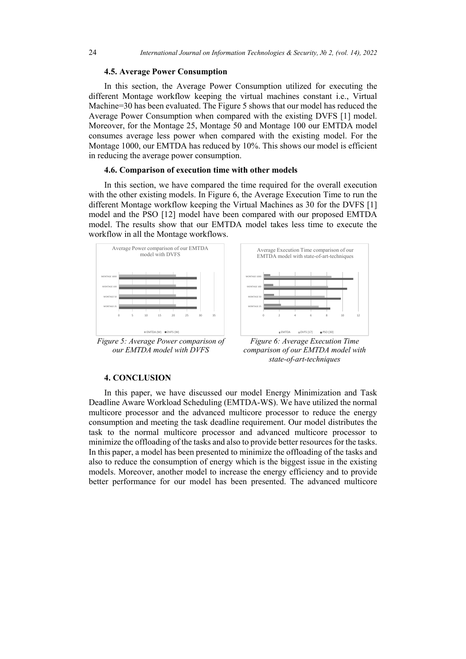#### **4.5. Average Power Consumption**

In this section, the Average Power Consumption utilized for executing the different Montage workflow keeping the virtual machines constant i.e., Virtual Machine=30 has been evaluated. The Figure 5 shows that our model has reduced the Average Power Consumption when compared with the existing DVFS [1] model. Moreover, for the Montage 25, Montage 50 and Montage 100 our EMTDA model consumes average less power when compared with the existing model. For the Montage 1000, our EMTDA has reduced by 10%. This shows our model is efficient in reducing the average power consumption.

#### **4.6. Comparison of execution time with other models**

In this section, we have compared the time required for the overall execution with the other existing models. In Figure 6, the Average Execution Time to run the different Montage workflow keeping the Virtual Machines as 30 for the DVFS [1] model and the PSO [12] model have been compared with our proposed EMTDA model. The results show that our EMTDA model takes less time to execute the workflow in all the Montage workflows.



*Figure 5: Average Power comparison of our EMTDA model with DVFS*



*comparison of our EMTDA model with state-of-art-techniques*

#### **4. CONCLUSION**

In this paper, we have discussed our model Energy Minimization and Task Deadline Aware Workload Scheduling (EMTDA-WS). We have utilized the normal multicore processor and the advanced multicore processor to reduce the energy consumption and meeting the task deadline requirement. Our model distributes the task to the normal multicore processor and advanced multicore processor to minimize the offloading of the tasks and also to provide better resources for the tasks. In this paper, a model has been presented to minimize the offloading of the tasks and also to reduce the consumption of energy which is the biggest issue in the existing models. Moreover, another model to increase the energy efficiency and to provide better performance for our model has been presented. The advanced multicore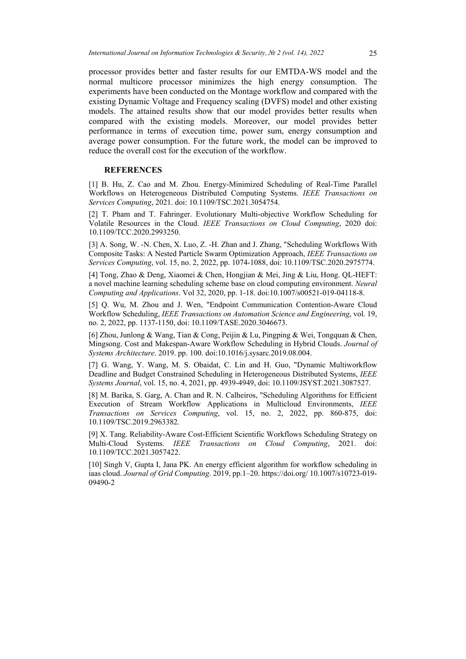processor provides better and faster results for our EMTDA-WS model and the normal multicore processor minimizes the high energy consumption. The experiments have been conducted on the Montage workflow and compared with the existing Dynamic Voltage and Frequency scaling (DVFS) model and other existing models. The attained results show that our model provides better results when compared with the existing models. Moreover, our model provides better performance in terms of execution time, power sum, energy consumption and average power consumption. For the future work, the model can be improved to reduce the overall cost for the execution of the workflow.

# **REFERENCES**

[1] B. Hu, Z. Cao and M. Zhou. Energy-Minimized Scheduling of Real-Time Parallel Workflows on Heterogeneous Distributed Computing Systems. *IEEE Transactions on Services Computing*, 2021. doi: 10.1109/TSC.2021.3054754.

[2] T. Pham and T. Fahringer. Evolutionary Multi-objective Workflow Scheduling for Volatile Resources in the Cloud. *IEEE Transactions on Cloud Computing*, 2020 doi: 10.1109/TCC.2020.2993250.

[3] A. Song, W. -N. Chen, X. Luo, Z. -H. Zhan and J. Zhang, "Scheduling Workflows With Composite Tasks: A Nested Particle Swarm Optimization Approach, *IEEE Transactions on Services Computing*, vol. 15, no. 2, 2022, pp. 1074-1088, doi: 10.1109/TSC.2020.2975774.

[4] Tong, Zhao & Deng, Xiaomei & Chen, Hongjian & Mei, Jing & Liu, Hong. QL-HEFT: a novel machine learning scheduling scheme base on cloud computing environment. *Neural Computing and Applications*. Vol 32, 2020, pp. 1-18. doi:10.1007/s00521-019-04118-8.

[5] Q. Wu, M. Zhou and J. Wen, "Endpoint Communication Contention-Aware Cloud Workflow Scheduling, *IEEE Transactions on Automation Science and Engineering*, vol. 19, no. 2, 2022, pp. 1137-1150, doi: 10.1109/TASE.2020.3046673.

[6] Zhou, Junlong & Wang, Tian & Cong, Peijin & Lu, Pingping & Wei, Tongquan & Chen, Mingsong. Cost and Makespan-Aware Workflow Scheduling in Hybrid Clouds. *Journal of Systems Architecture*. 2019. pp. 100. doi:10.1016/j.sysarc.2019.08.004.

[7] G. Wang, Y. Wang, M. S. Obaidat, C. Lin and H. Guo, "Dynamic Multiworkflow Deadline and Budget Constrained Scheduling in Heterogeneous Distributed Systems, *IEEE Systems Journal*, vol. 15, no. 4, 2021, pp. 4939-4949, doi: 10.1109/JSYST.2021.3087527.

[8] M. Barika, S. Garg, A. Chan and R. N. Calheiros, "Scheduling Algorithms for Efficient Execution of Stream Workflow Applications in Multicloud Environments, *IEEE Transactions on Services Computing*, vol. 15, no. 2, 2022, pp. 860-875, doi: 10.1109/TSC.2019.2963382.

[9] X. Tang. Reliability-Aware Cost-Efficient Scientific Workflows Scheduling Strategy on Multi-Cloud Systems. *IEEE Transactions on Cloud Computing*, 2021. doi: 10.1109/TCC.2021.3057422.

[10] Singh V, Gupta I, Jana PK. An energy efficient algorithm for workflow scheduling in iaas cloud. *Journal of Grid Computing*. 2019, pp.1–20. https://doi.org/ 10.1007/s10723-019- 09490-2